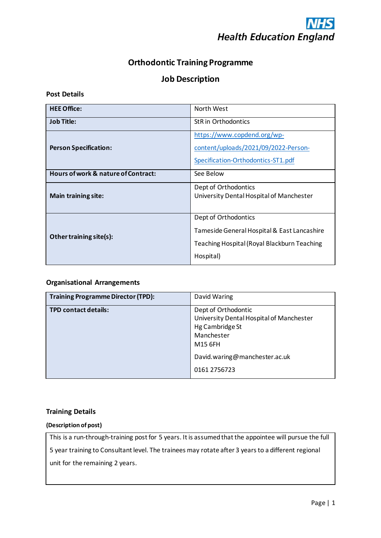

# **Orthodontic Training Programme**

# **Job Description**

#### **Post Details**

| <b>HEE Office:</b>                  | North West                                         |  |
|-------------------------------------|----------------------------------------------------|--|
| <b>Job Title:</b>                   | <b>StR</b> in Orthodontics                         |  |
|                                     | https://www.copdend.org/wp-                        |  |
| <b>Person Specification:</b>        | content/uploads/2021/09/2022-Person-               |  |
|                                     | Specification-Orthodontics-ST1.pdf                 |  |
| Hours of work & nature of Contract: | See Below                                          |  |
|                                     | Dept of Orthodontics                               |  |
| <b>Main training site:</b>          | University Dental Hospital of Manchester           |  |
|                                     |                                                    |  |
|                                     | Dept of Orthodontics                               |  |
| Other training site(s):             | Tameside General Hospital & East Lancashire        |  |
|                                     | <b>Teaching Hospital (Royal Blackburn Teaching</b> |  |
|                                     | Hospital)                                          |  |

### **Organisational Arrangements**

| <b>Training Programme Director (TPD):</b> | David Waring                                                                                                |
|-------------------------------------------|-------------------------------------------------------------------------------------------------------------|
| <b>TPD contact details:</b>               | Dept of Orthodontic<br>University Dental Hospital of Manchester<br>Hg Cambridge St<br>Manchester<br>M15 6FH |
|                                           | David.waring@manchester.ac.uk<br>0161 2756723                                                               |

### **Training Details**

#### **(Description of post)**

This is a run-through-training post for 5 years. It is assumed that the appointee will pursue the full 5 year training to Consultant level. The trainees may rotate after 3 years to a different regional unit for the remaining 2 years.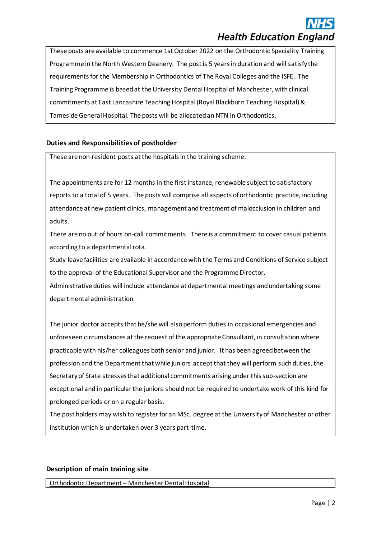These posts are available to commence 1st October 2022 on the Orthodontic Speciality Training Programme in the North Western Deanery. The post is 5 years in duration and will satisfy the requirements for the Membership in Orthodontics of The Royal Colleges and the ISFE. The Training Programme is based at the University Dental Hospital of Manchester, with clinical commitments at East Lancashire Teaching Hospital (Royal Blackburn Teaching Hospital) & Tameside General Hospital. The posts will be allocated an NTN in Orthodontics.

# **Duties and Responsibilities of postholder**

These are non-resident posts at the hospitals in the training scheme.

The appointments are for 12 months in the first instance, renewable subject to satisfactory reports to a total of 5 years. The posts will comprise all aspects of orthodontic practice, including attendance at new patient clinics, management and treatment of malocclusion in children and adults.

There are no out of hours on-call commitments. There is a commitment to cover casual patients according to a departmental rota.

Study leave facilities are available in accordance with the Terms and Conditions of Service subject to the approval of the Educational Supervisor and the Programme Director.

Administrative duties will include attendance at departmental meetings and undertaking some departmental administration.

The junior doctor accepts that he/she will also perform duties in occasional emergencies and unforeseen circumstances at the request of the appropriate Consultant, in consultation where practicable with his/her colleagues both senior and junior. It has been agreed between the profession and the Department that while juniors accept that they will perform such duties, the Secretary of State stresses that additional commitments arising under this sub-section are exceptional and in particular the juniors should not be required to undertake work of this kind for prolonged periods or on a regular basis.

The post holders may wish to register for an MSc. degree at the University of Manchester or other institution which is undertaken over 3 years part-time.

### **Description of main training site**

Orthodontic Department – Manchester Dental Hospital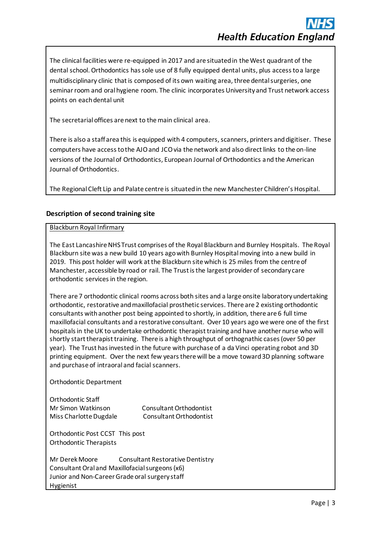The clinical facilities were re-equipped in 2017 and are situated in the West quadrant of the dental school. Orthodontics has sole use of 8 fully equipped dental units, plus access to a large multidisciplinary clinic that is composed of its own waiting area, three dental surgeries, one seminar room and oral hygiene room. The clinic incorporates University and Trust network access points on each dental unit

The secretarial offices are next to the main clinical area.

There is also a staff area this is equipped with 4 computers, scanners, printers and digitiser. These computers have access to the AJO and JCO via the network and also direct links to the on-line versions of the Journal of Orthodontics, European Journal of Orthodontics and the American Journal of Orthodontics.

The Regional Cleft Lip and Palate centre is situated in the new Manchester Children's Hospital.

# **Description of second training site**

#### Blackburn Royal Infirmary

The East Lancashire NHS Trust comprises of the Royal Blackburn and Burnley Hospitals. The Royal Blackburn site was a new build 10 years ago with Burnley Hospital moving into a new build in 2019. This post holder will work at the Blackburn site which is 25 miles from the centre of Manchester, accessible by road or rail. The Trust is the largest provider of secondary care orthodontic services in the region.

There are 7 orthodontic clinical rooms across both sites and a large onsite laboratory undertaking orthodontic, restorative and maxillofacial prosthetic services. There are 2 existing orthodontic consultants with another post being appointed to shortly, in addition, there are 6 full time maxillofacial consultants and a restorative consultant. Over 10 years ago we were one of the first hospitals in the UK to undertake orthodontic therapist training and have another nurse who will shortly start therapist training. There is a high throughput of orthognathic cases (over 50 per year). The Trust has invested in the future with purchase of a da Vinci operating robot and 3D printing equipment. Over the next few years there will be a move toward 3D planning software and purchase of intraoral and facial scanners.

Orthodontic Department

| Orthodontic Staff      |                         |
|------------------------|-------------------------|
| Mr Simon Watkinson     | Consultant Orthodontist |
| Miss Charlotte Dugdale | Consultant Orthodontist |

Orthodontic Post CCST This post Orthodontic Therapists

Mr Derek Moore Consultant Restorative Dentistry Consultant Oral and Maxillofacial surgeons (x6) Junior and Non-Career Grade oral surgery staff Hygienist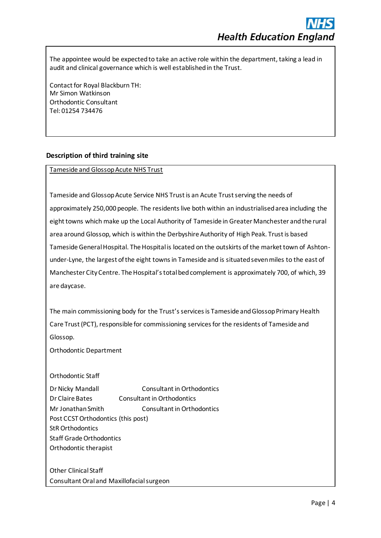The appointee would be expected to take an active role within the department, taking a lead in audit and clinical governance which is well established in the Trust.

Contact for Royal Blackburn TH: Mr Simon Watkinson Orthodontic Consultant Tel: 01254 734476

## **Description of third training site**

Tameside and Glossop Acute NHS Trust

Tameside and Glossop Acute Service NHS Trust is an Acute Trust serving the needs of approximately 250,000 people. The residents live both within an industrialised area including the eight towns which make up the Local Authority of Tameside in Greater Manchester and the rural area around Glossop, which is within the Derbyshire Authority of High Peak. Trust is based Tameside General Hospital. The Hospital is located on the outskirts of the market town of Ashtonunder-Lyne, the largest of the eight towns in Tameside and is situated seven miles to the east of Manchester City Centre. The Hospital's total bed complement is approximately 700, of which, 39 are daycase.

The main commissioning body for the Trust's services is Tameside and Glossop Primary Health Care Trust (PCT), responsible for commissioning services for the residents of Tameside and Glossop.

Orthodontic Department

Orthodontic Staff

Dr Nicky Mandall Consultant in Orthodontics Dr Claire Bates Consultant in Orthodontics Mr Jonathan Smith Consultant in Orthodontics Post CCST Orthodontics (this post) StR Orthodontics Staff Grade Orthodontics Orthodontic therapist

Other Clinical Staff Consultant Oral and Maxillofacial surgeon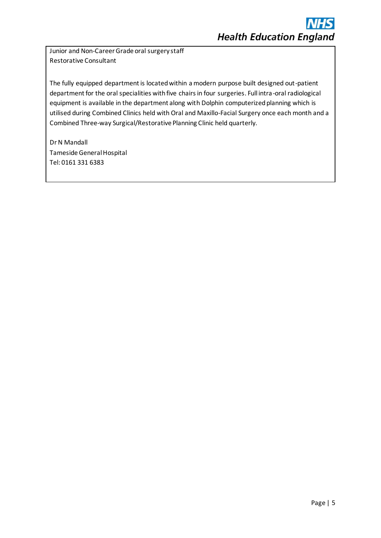Junior and Non-Career Grade oral surgery staff Restorative Consultant

The fully equipped department is located within a modern purpose built designed out-patient department for the oral specialities with five chairs in four surgeries. Full intra-oral radiological equipment is available in the department along with Dolphin computerized planning which is utilised during Combined Clinics held with Oral and Maxillo-Facial Surgery once each month and a Combined Three-way Surgical/Restorative Planning Clinic held quarterly.

Dr N Mandall Tameside General Hospital Tel: 0161 331 6383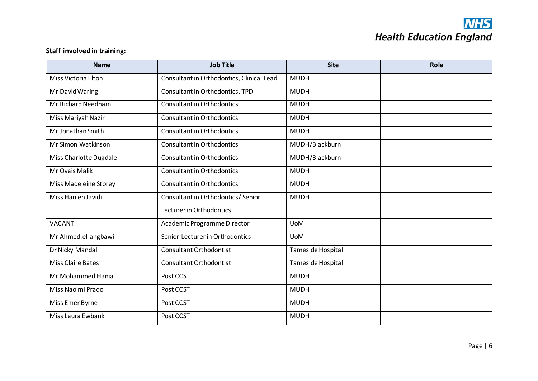# **NHS**<br>Health Education England

# **Staff involved in training:**

| <b>Job Title</b><br><b>Name</b> |                                           | <b>Site</b>       | Role |
|---------------------------------|-------------------------------------------|-------------------|------|
| Miss Victoria Elton             | Consultant in Orthodontics, Clinical Lead | <b>MUDH</b>       |      |
| Mr David Waring                 | Consultant in Orthodontics, TPD           | <b>MUDH</b>       |      |
| Mr Richard Needham              | <b>Consultant in Orthodontics</b>         | <b>MUDH</b>       |      |
| Miss Mariyah Nazir              | <b>Consultant in Orthodontics</b>         | <b>MUDH</b>       |      |
| Mr Jonathan Smith               | <b>Consultant in Orthodontics</b>         | <b>MUDH</b>       |      |
| Mr Simon Watkinson              | <b>Consultant in Orthodontics</b>         | MUDH/Blackburn    |      |
| Miss Charlotte Dugdale          | <b>Consultant in Orthodontics</b>         | MUDH/Blackburn    |      |
| Mr Ovais Malik                  | <b>Consultant in Orthodontics</b>         | <b>MUDH</b>       |      |
| Miss Madeleine Storey           | <b>Consultant in Orthodontics</b>         | <b>MUDH</b>       |      |
| Miss Hanieh Javidi              | Consultant in Orthodontics/Senior         | <b>MUDH</b>       |      |
|                                 | Lecturer in Orthodontics                  |                   |      |
| <b>VACANT</b>                   | Academic Programme Director               | <b>UoM</b>        |      |
| Mr Ahmed.el-angbawi             | Senior Lecturer in Orthodontics           | <b>UoM</b>        |      |
| Dr Nicky Mandall                | <b>Consultant Orthodontist</b>            | Tameside Hospital |      |
| <b>Miss Claire Bates</b>        | <b>Consultant Orthodontist</b>            | Tameside Hospital |      |
| Mr Mohammed Hania               | Post CCST                                 | <b>MUDH</b>       |      |
| Miss Naoimi Prado               | Post CCST                                 | <b>MUDH</b>       |      |
| Miss Emer Byrne                 | Post CCST                                 | <b>MUDH</b>       |      |
| Miss Laura Ewbank               | Post CCST                                 | <b>MUDH</b>       |      |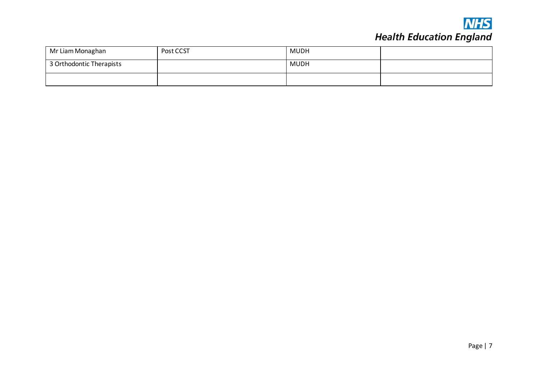

# **NHS**<br>Health Education England

| Mr Liam Monaghan         | Post CCST | MUDH |  |
|--------------------------|-----------|------|--|
| 3 Orthodontic Therapists |           | MUDH |  |
|                          |           |      |  |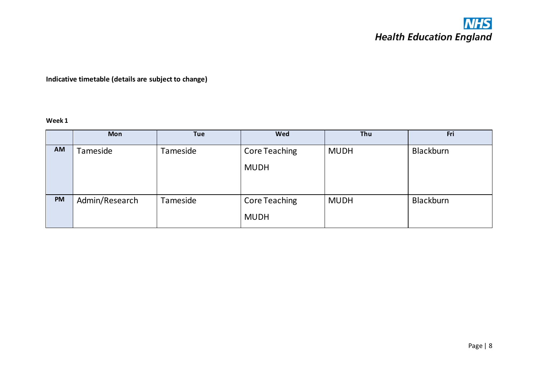**Indicative timetable (details are subject to change)**

**Week 1**

|           | <b>Mon</b>     | <b>Tue</b> | Wed                  | Thu         | Fri       |
|-----------|----------------|------------|----------------------|-------------|-----------|
| AM        | Tameside       | Tameside   | <b>Core Teaching</b> | <b>MUDH</b> | Blackburn |
|           |                |            | <b>MUDH</b>          |             |           |
|           |                |            |                      |             |           |
| <b>PM</b> | Admin/Research | Tameside   | <b>Core Teaching</b> | <b>MUDH</b> | Blackburn |
|           |                |            |                      |             |           |
|           |                |            | <b>MUDH</b>          |             |           |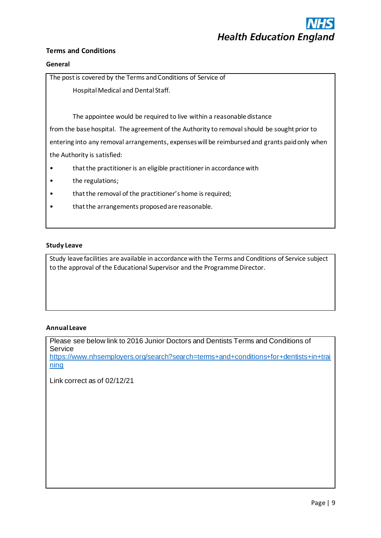

## **Terms and Conditions**

#### **General**

The post is covered by the Terms and Conditions of Service of

Hospital Medical and Dental Staff.

The appointee would be required to live within a reasonable distance

from the base hospital. The agreement of the Authority to removal should be sought prior to entering into any removal arrangements, expenses will be reimbursed and grants paid only when the Authority is satisfied:

- that the practitioner is an eligible practitioner in accordance with
- the regulations;
- that the removal of the practitioner's home is required;
- that the arrangements proposed are reasonable.

#### **Study Leave**

Study leave facilities are available in accordance with the Terms and Conditions of Service subject to the approval of the Educational Supervisor and the Programme Director.

#### **Annual Leave**

Please see below link to 2016 Junior Doctors and Dentists Terms and Conditions of Service [https://www.nhsemployers.org/search?search=terms+and+conditions+for+dentists+in+trai](https://www.nhsemployers.org/search?search=terms+and+conditions+for+dentists+in+training) [ning](https://www.nhsemployers.org/search?search=terms+and+conditions+for+dentists+in+training)

Link correct as of 02/12/21